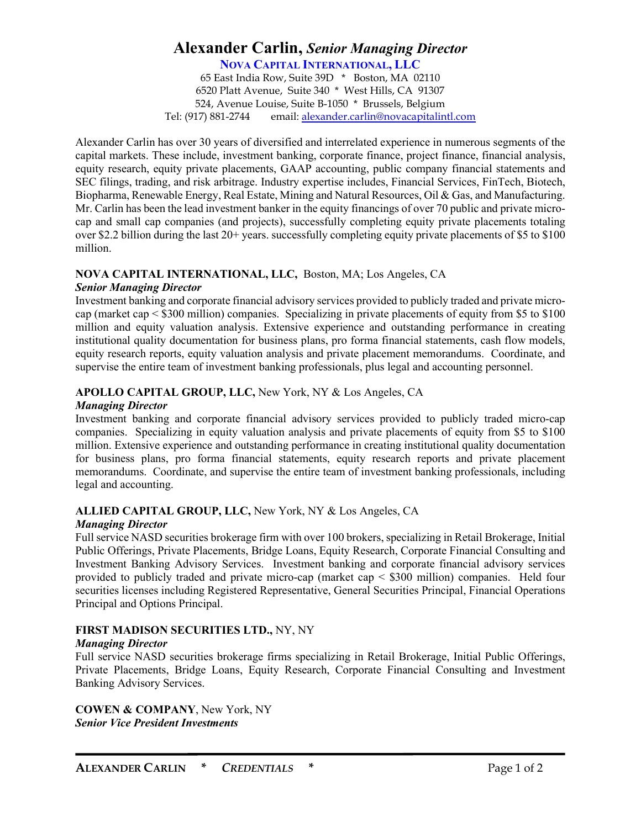# **Alexander Carlin,** *Senior Managing Director*

**NOVA CAPITAL INTERNATIONAL, LLC**

65 East India Row, Suite 39D \* Boston, MA 02110 6520 Platt Avenue, Suite 340 \* West Hills, CA 91307 524, Avenue Louise, Suite B-1050 \* Brussels, Belgium Tel: (917) 881-2744 email: alexander.carlin@novacapitalintl.com

Alexander Carlin has over 30 years of diversified and interrelated experience in numerous segments of the capital markets. These include, investment banking, corporate finance, project finance, financial analysis, equity research, equity private placements, GAAP accounting, public company financial statements and SEC filings, trading, and risk arbitrage. Industry expertise includes, Financial Services, FinTech, Biotech, Biopharma, Renewable Energy, Real Estate, Mining and Natural Resources, Oil & Gas, and Manufacturing. Mr. Carlin has been the lead investment banker in the equity financings of over 70 public and private microcap and small cap companies (and projects), successfully completing equity private placements totaling over \$2.2 billion during the last 20+ years. successfully completing equity private placements of \$5 to \$100 million.

### **NOVA CAPITAL INTERNATIONAL, LLC,** Boston, MA; Los Angeles, CA

#### *Senior Managing Director*

Investment banking and corporate financial advisory services provided to publicly traded and private microcap (market cap < \$300 million) companies. Specializing in private placements of equity from \$5 to \$100 million and equity valuation analysis. Extensive experience and outstanding performance in creating institutional quality documentation for business plans, pro forma financial statements, cash flow models, equity research reports, equity valuation analysis and private placement memorandums. Coordinate, and supervise the entire team of investment banking professionals, plus legal and accounting personnel.

## **APOLLO CAPITAL GROUP, LLC,** New York, NY & Los Angeles, CA

#### *Managing Director*

Investment banking and corporate financial advisory services provided to publicly traded micro-cap companies. Specializing in equity valuation analysis and private placements of equity from \$5 to \$100 million. Extensive experience and outstanding performance in creating institutional quality documentation for business plans, pro forma financial statements, equity research reports and private placement memorandums. Coordinate, and supervise the entire team of investment banking professionals, including legal and accounting.

## **ALLIED CAPITAL GROUP, LLC,** New York, NY & Los Angeles, CA

### *Managing Director*

Full service NASD securities brokerage firm with over 100 brokers, specializing in Retail Brokerage, Initial Public Offerings, Private Placements, Bridge Loans, Equity Research, Corporate Financial Consulting and Investment Banking Advisory Services. Investment banking and corporate financial advisory services provided to publicly traded and private micro-cap (market cap < \$300 million) companies. Held four securities licenses including Registered Representative, General Securities Principal, Financial Operations Principal and Options Principal.

### **FIRST MADISON SECURITIES LTD.,** NY, NY

### *Managing Director*

Full service NASD securities brokerage firms specializing in Retail Brokerage, Initial Public Offerings, Private Placements, Bridge Loans, Equity Research, Corporate Financial Consulting and Investment Banking Advisory Services.

**COWEN & COMPANY**, New York, NY *Senior Vice President Investments*